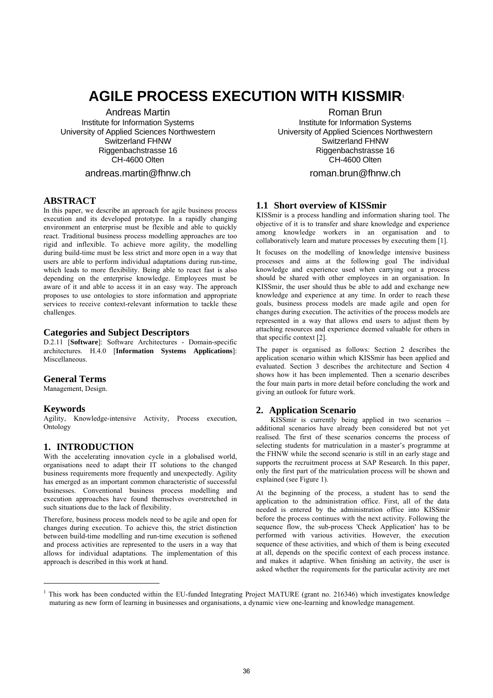# **AGILE PROCESS EXECUTION WITH KISSMIR<sup>1</sup>**

Andreas Martin Institute for Information Systems University of Applied Sciences Northwestern Switzerland FHNW Riggenbachstrasse 16 CH-4600 Olten

# andreas.martin@fhnw.ch

#### **ABSTRACT**

In this paper, we describe an approach for agile business process execution and its developed prototype. In a rapidly changing environment an enterprise must be flexible and able to quickly react. Traditional business process modelling approaches are too rigid and inflexible. To achieve more agility, the modelling during build-time must be less strict and more open in a way that users are able to perform individual adaptations during run-time, which leads to more flexibility. Being able to react fast is also depending on the enterprise knowledge. Employees must be aware of it and able to access it in an easy way. The approach proposes to use ontologies to store information and appropriate services to receive context-relevant information to tackle these challenges.

#### **Categories and Subject Descriptors**

D.2.11 [**Software**]: Software Architectures - Domain-specific architectures. H.4.0 [**Information Systems Applications**]: Miscellaneous.

# **General Terms**

Management, Design.

#### **Keywords**

j

Agility, Knowledge-intensive Activity, Process execution, Ontology

# **1. INTRODUCTION**

With the accelerating innovation cycle in a globalised world, organisations need to adapt their IT solutions to the changed business requirements more frequently and unexpectedly. Agility has emerged as an important common characteristic of successful businesses. Conventional business process modelling and execution approaches have found themselves overstretched in such situations due to the lack of flexibility.

Therefore, business process models need to be agile and open for changes during execution. To achieve this, the strict distinction between build-time modelling and run-time execution is softened and process activities are represented to the users in a way that allows for individual adaptations. The implementation of this approach is described in this work at hand.

Roman Brun

Institute for Information Systems University of Applied Sciences Northwestern Switzerland FHNW Riggenbachstrasse 16 CH-4600 Olten

roman.brun@fhnw.ch

# **1.1 Short overview of KISSmir**

KISSmir is a process handling and information sharing tool. The objective of it is to transfer and share knowledge and experience among knowledge workers in an organisation and to collaboratively learn and mature processes by executing them [1].

It focuses on the modelling of knowledge intensive business processes and aims at the following goal The individual knowledge and experience used when carrying out a process should be shared with other employees in an organisation. In KISSmir, the user should thus be able to add and exchange new knowledge and experience at any time. In order to reach these goals, business process models are made agile and open for changes during execution. The activities of the process models are represented in a way that allows end users to adjust them by attaching resources and experience deemed valuable for others in that specific context [2].

The paper is organised as follows: Section 2 describes the application scenario within which KISSmir has been applied and evaluated. Section 3 describes the architecture and Section 4 shows how it has been implemented. Then a scenario describes the four main parts in more detail before concluding the work and giving an outlook for future work.

# **2. Application Scenario**

KISSmir is currently being applied in two scenarios – additional scenarios have already been considered but not yet realised. The first of these scenarios concerns the process of selecting students for matriculation in a master's programme at the FHNW while the second scenario is still in an early stage and supports the recruitment process at SAP Research. In this paper, only the first part of the matriculation process will be shown and explained (see Figure 1).

At the beginning of the process, a student has to send the application to the administration office. First, all of the data needed is entered by the administration office into KISSmir before the process continues with the next activity. Following the sequence flow, the sub-process 'Check Application' has to be performed with various activities. However, the execution sequence of these activities, and which of them is being executed at all, depends on the specific context of each process instance. and makes it adaptive. When finishing an activity, the user is asked whether the requirements for the particular activity are met

<sup>1</sup> This work has been conducted within the EU-funded Integrating Project MATURE (grant no. 216346) which investigates knowledge maturing as new form of learning in businesses and organisations, a dynamic view one-learning and knowledge management.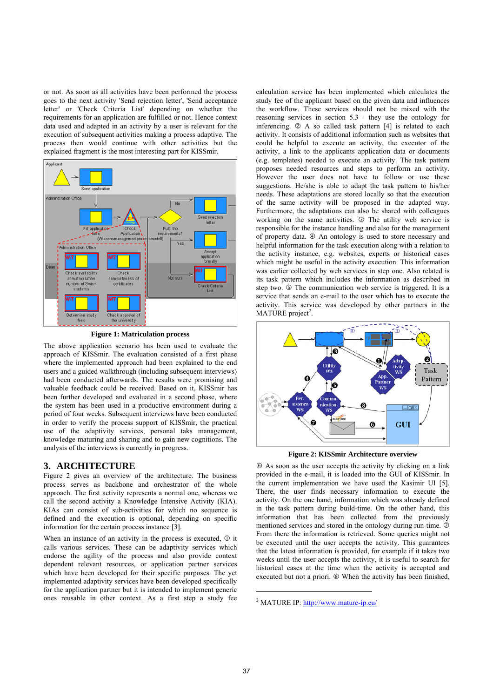or not. As soon as all activities have been performed the process goes to the next activity 'Send rejection letter', 'Send acceptance letter' or 'Check Criteria List' depending on whether the requirements for an application are fulfilled or not. Hence context data used and adapted in an activity by a user is relevant for the execution of subsequent activities making a process adaptive. The process then would continue with other activities but the explained fragment is the most interesting part for KISSmir.



**Figure 1: Matriculation process** 

The above application scenario has been used to evaluate the approach of KISSmir. The evaluation consisted of a first phase where the implemented approach had been explained to the end users and a guided walkthrough (including subsequent interviews) had been conducted afterwards. The results were promising and valuable feedback could be received. Based on it, KISSmir has been further developed and evaluated in a second phase, where the system has been used in a productive environment during a period of four weeks. Subsequent interviews have been conducted in order to verify the process support of KISSmir, the practical use of the adaptivity services, personal taks management, knowledge maturing and sharing and to gain new cognitions. The analysis of the interviews is currently in progress.

# **3. ARCHITECTURE**

Figure 2 gives an overview of the architecture. The business process serves as backbone and orchestrator of the whole approach. The first activity represents a normal one, whereas we call the second activity a Knowledge Intensive Activity (KIA). KIAs can consist of sub-activities for which no sequence is defined and the execution is optional, depending on specific information for the certain process instance [3].

When an instance of an activity in the process is executed,  $\Phi$  it calls various services. These can be adaptivity services which endorse the agility of the process and also provide context dependent relevant resources, or application partner services which have been developed for their specific purposes. The yet implemented adaptivity services have been developed specifically for the application partner but it is intended to implement generic ones reusable in other context. As a first step a study fee calculation service has been implemented which calculates the study fee of the applicant based on the given data and influences the workflow. These services should not be mixed with the reasoning services in section 5.3 - they use the ontology for inferencing.  $\oslash$  A so called task pattern [4] is related to each activity. It consists of additional information such as websites that could be helpful to execute an activity, the executor of the activity, a link to the applicants application data or documents (e.g. templates) needed to execute an activity. The task pattern proposes needed resources and steps to perform an activity. However the user does not have to follow or use these suggestions. He/she is able to adapt the task pattern to his/her needs. These adaptations are stored locally so that the execution of the same activity will be proposed in the adapted way. Furthermore, the adaptations can also be shared with colleagues working on the same activities.  $\circled{}$  The utility web service is responsible for the instance handling and also for the management of property data.  $\Phi$  An ontology is used to store necessary and helpful information for the task execution along with a relation to the activity instance, e.g. websites, experts or historical cases which might be useful in the activity execution. This information was earlier collected by web services in step one. Also related is its task pattern which includes the information as described in step two.  $\circled{S}$  The communication web service is triggered. It is a service that sends an e-mail to the user which has to execute the activity. This service was developed by other partners in the MATURE project<sup>2</sup>.



**Figure 2: KISSmir Architecture overview** 

 $\circledast$  As soon as the user accepts the activity by clicking on a link provided in the e-mail, it is loaded into the GUI of KISSmir. In the current implementation we have used the Kasimir UI [5]. There, the user finds necessary information to execute the activity. On the one hand, information which was already defined in the task pattern during build-time. On the other hand, this information that has been collected from the previously mentioned services and stored in the ontology during run-time.  $\circledcirc$ From there the information is retrieved. Some queries might not be executed until the user accepts the activity. This guarantees that the latest information is provided, for example if it takes two weeks until the user accepts the activity, it is useful to search for historical cases at the time when the activity is accepted and executed but not a priori.  $\circledast$  When the activity has been finished,

l

<sup>&</sup>lt;sup>2</sup> MATURE IP: http://www.mature-ip.eu/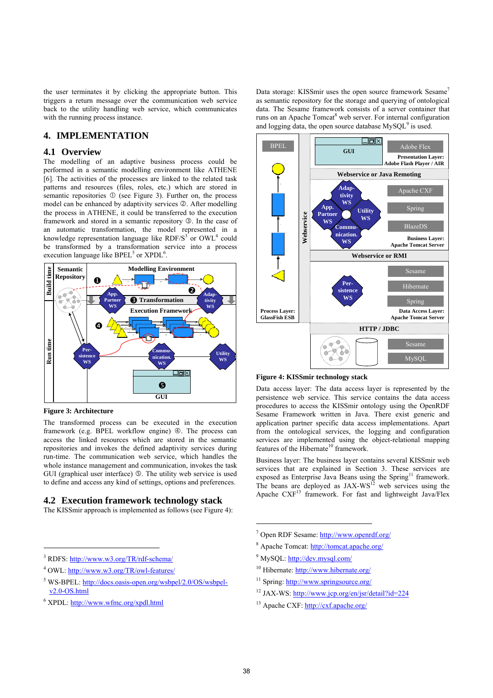the user terminates it by clicking the appropriate button. This triggers a return message over the communication web service back to the utility handling web service, which communicates with the running process instance.

# **4. IMPLEMENTATION**

#### **4.1 Overview**

The modelling of an adaptive business process could be performed in a semantic modelling environment like ATHENE [6]. The activities of the processes are linked to the related task patterns and resources (files, roles, etc.) which are stored in semantic repositories  $\odot$  (see Figure 3). Further on, the process model can be enhanced by adaptivity services  $\oslash$ . After modelling the process in ATHENE, it could be transferred to the execution framework and stored in a semantic repository  $\circled{3}$ . In the case of an automatic transformation, the model represented in a knowledge representation language like  $RDF/S<sup>3</sup>$  or  $OWL<sup>4</sup>$  could be transformed by a transformation service into a process execution language like  $BPEL<sup>5</sup>$  or  $XPDL<sup>6</sup>$ .



**Figure 3: Architecture** 

l

The transformed process can be executed in the execution framework (e.g.  $BPEL$  workflow engine)  $\circledA$ . The process can access the linked resources which are stored in the semantic repositories and invokes the defined adaptivity services during run-time. The communication web service, which handles the whole instance management and communication, invokes the task GUI (graphical user interface) **5**. The utility web service is used to define and access any kind of settings, options and preferences.

## **4.2 Execution framework technology stack**

The KISSmir approach is implemented as follows (see Figure 4):

- <sup>5</sup> WS-BPEL: http://docs.oasis-open.org/wsbpel/2.0/OS/wsbpelv2.0-OS.html
- <sup>6</sup> XPDL: http://www.wfmc.org/xpdl.html

Data storage: KISSmir uses the open source framework Sesame<sup>7</sup> as semantic repository for the storage and querying of ontological data. The Sesame framework consists of a server container that runs on an Apache Tomcat<sup>8</sup> web server. For internal configuration and logging data, the open source database  $MySQL^9$  is used.



**Figure 4: KISSmir technology stack** 

Data access layer: The data access layer is represented by the persistence web service. This service contains the data access procedures to access the KISSmir ontology using the OpenRDF Sesame Framework written in Java. There exist generic and application partner specific data access implementations. Apart from the ontological services, the logging and configuration services are implemented using the object-relational mapping features of the Hibernate<sup>10</sup> framework.

Business layer: The business layer contains several KISSmir web services that are explained in Section 3. These services are exposed as Enterprise Java Beans using the Spring<sup>11</sup> framework. The beans are deployed as  $JAX-WS^{12}$  web services using the Apache CXF<sup>13</sup> framework. For fast and lightweight Java/Flex

- <sup>7</sup> Open RDF Sesame: http://www.openrdf.org/
- <sup>8</sup> Apache Tomcat: http://tomcat.apache.org/
- <sup>9</sup> MySQL: http://dev.mysql.com/
- 10 Hibernate: http://www.hibernate.org/
- <sup>11</sup> Spring: http://www.springsource.org/
- 12 JAX-WS: http://www.jcp.org/en/jsr/detail?id=224
- 13 Apache CXF: http://cxf.apache.org/

j

<sup>&</sup>lt;sup>3</sup> RDFS: http://www.w3.org/TR/rdf-schema/

<sup>&</sup>lt;sup>4</sup> OWL: http://www.w3.org/TR/owl-features/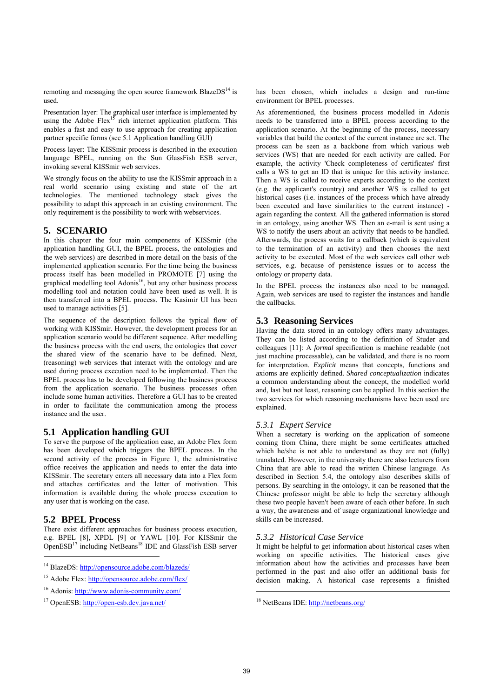remoting and messaging the open source framework BlazeDS $^{14}$  is used.

Presentation layer: The graphical user interface is implemented by using the Adobe Flex<sup>15</sup> rich internet application platform. This enables a fast and easy to use approach for creating application partner specific forms (see 5.1 Application handling GUI)

Process layer: The KISSmir process is described in the execution language BPEL, running on the Sun GlassFish ESB server, invoking several KISSmir web services.

We strongly focus on the ability to use the KISSmir approach in a real world scenario using existing and state of the art technologies. The mentioned technology stack gives the possibility to adapt this approach in an existing environment. The only requirement is the possibility to work with webservices.

# **5. SCENARIO**

In this chapter the four main components of KISSmir (the application handling GUI, the BPEL process, the ontologies and the web services) are described in more detail on the basis of the implemented application scenario. For the time being the business process itself has been modelled in PROMOTE [7] using the graphical modelling tool  $Adonis<sup>16</sup>$ , but any other business process modelling tool and notation could have been used as well. It is then transferred into a BPEL process. The Kasimir UI has been used to manage activities [5].

The sequence of the description follows the typical flow of working with KISSmir. However, the development process for an application scenario would be different sequence. After modelling the business process with the end users, the ontologies that cover the shared view of the scenario have to be defined. Next, (reasoning) web services that interact with the ontology and are used during process execution need to be implemented. Then the BPEL process has to be developed following the business process from the application scenario. The business processes often include some human activities. Therefore a GUI has to be created in order to facilitate the communication among the process instance and the user.

# **5.1 Application handling GUI**

To serve the purpose of the application case, an Adobe Flex form has been developed which triggers the BPEL process. In the second activity of the process in Figure 1, the administrative office receives the application and needs to enter the data into KISSmir. The secretary enters all necessary data into a Flex form and attaches certificates and the letter of motivation. This information is available during the whole process execution to any user that is working on the case.

# **5.2 BPEL Process**

 $\overline{a}$ 

There exist different approaches for business process execution, e.g. BPEL [8], XPDL [9] or YAWL [10]. For KISSmir the OpenESB<sup>17</sup> including NetBeans<sup>18</sup> IDE and GlassFish ESB server has been chosen, which includes a design and run-time environment for BPEL processes.

As aforementioned, the business process modelled in Adonis needs to be transferred into a BPEL process according to the application scenario. At the beginning of the process, necessary variables that build the context of the current instance are set. The process can be seen as a backbone from which various web services (WS) that are needed for each activity are called. For example, the activity 'Check completeness of certificates' first calls a WS to get an ID that is unique for this activity instance. Then a WS is called to receive experts according to the context (e.g. the applicant's country) and another WS is called to get historical cases (i.e. instances of the process which have already been executed and have similarities to the current instance) again regarding the context. All the gathered information is stored in an ontology, using another WS. Then an e-mail is sent using a WS to notify the users about an activity that needs to be handled. Afterwards, the process waits for a callback (which is equivalent to the termination of an activity) and then chooses the next activity to be executed. Most of the web services call other web services, e.g. because of persistence issues or to access the ontology or property data.

In the BPEL process the instances also need to be managed. Again, web services are used to register the instances and handle the callbacks.

# **5.3 Reasoning Services**

Having the data stored in an ontology offers many advantages. They can be listed according to the definition of Studer and colleagues [11]: A *formal* specification is machine readable (not just machine processable), can be validated, and there is no room for interpretation. *Explicit* means that concepts, functions and axioms are explicitly defined. *Shared conceptualization* indicates a common understanding about the concept, the modelled world and, last but not least, reasoning can be applied. In this section the two services for which reasoning mechanisms have been used are explained.

#### *5.3.1 Expert Service*

When a secretary is working on the application of someone coming from China, there might be some certificates attached which he/she is not able to understand as they are not (fully) translated. However, in the university there are also lecturers from China that are able to read the written Chinese language. As described in Section 5.4, the ontology also describes skills of persons. By searching in the ontology, it can be reasoned that the Chinese professor might be able to help the secretary although these two people haven't been aware of each other before. In such a way, the awareness and of usage organizational knowledge and skills can be increased.

#### *5.3.2 Historical Case Service*

It might be helpful to get information about historical cases when working on specific activities. The historical cases give information about how the activities and processes have been performed in the past and also offer an additional basis for decision making. A historical case represents a finished

18 NetBeans IDE: http://netbeans.org/

l

<sup>&</sup>lt;sup>14</sup> BlazeDS: http://opensource.adobe.com/blazeds/

<sup>15</sup> Adobe Flex: http://opensource.adobe.com/flex/

<sup>16</sup> Adonis: http://www.adonis-community.com/

<sup>17</sup> OpenESB: http://open-esb.dev.java.net/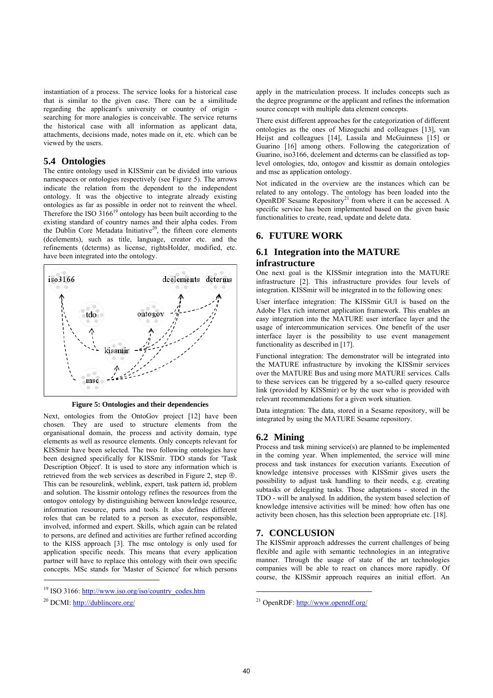instantiation of a process. The service looks for a historical case that is similar to the given case. There can be a similitude regarding the applicant's university or country of origin searching for more analogies is conceivable. The service returns the historical case with all information as applicant data, attachments, decisions made, notes made on it, etc. which can be viewed by the users.

### **5.4 Ontologies**

The entire ontology used in KISSmir can be divided into various namespaces or ontologies respectively (see Figure 5). The arrows indicate the relation from the dependent to the independent ontology. It was the objective to integrate already existing ontologies as far as possible in order not to reinvent the wheel. Therefore the ISO  $3166^{19}$  ontology has been built according to the existing standard of country names and their alpha codes. From the Dublin Core Metadata Initiative<sup>20</sup>, the fifteen core elements (dcelements), such as title, language, creator etc. and the refinements (dcterms) as license, rightsHolder, modified, etc. have been integrated into the ontology.



**Figure 5: Ontologies and their dependencies** 

Next, ontologies from the OntoGov project [12] have been chosen. They are used to structure elements from the organisational domain, the process and activity domain, type elements as well as resource elements. Only concepts relevant for KISSmir have been selected. The two following ontologies have been designed specifically for KISSmir. TDO stands for 'Task Description Object'. It is used to store any information which is retrieved from the web services as described in Figure 2, step  $\Phi$ . This can be resourelink, weblink, expert, task pattern id, problem and solution. The kissmir ontology refines the resources from the ontogov ontology by distinguishing between knowledge resource, information resource, parts and tools. It also defines different roles that can be related to a person as executor, responsible, involved, informed and expert. Skills, which again can be related to persons, are defined and activities are further refined according to the KISS approach [3]. The msc ontology is only used for application specific needs. This means that every application partner will have to replace this ontology with their own specific concepts. MSc stands for 'Master of Science' for which persons

l

apply in the matriculation process. It includes concepts such as the degree programme or the applicant and refines the information source concept with multiple data element concepts.

There exist different approaches for the categorization of different ontologies as the ones of Mizoguchi and colleagues [13], van Heijst and colleagues [14], Lassila and McGuinness [15] or Guarino [16] among others. Following the categorization of Guarino, iso3166, dcelement and dcterms can be classified as toplevel ontologies, tdo, ontogov and kissmir as domain ontologies and msc as application ontology.

Not indicated in the overview are the instances which can be related to any ontology. The ontology has been loaded into the OpenRDF Sesame Repository<sup>21</sup> from where it can be accessed. A specific service has been implemented based on the given basic functionalities to create, read, update and delete data.

# **6. FUTURE WORK**

# **6.1 Integration into the MATURE infrastructure**

One next goal is the KISSmir integration into the MATURE infrastructure [2]. This infrastructure provides four levels of integration. KISSmir will be integrated in to the following ones:

User interface integration: The KISSmir GUI is based on the Adobe Flex rich internet application framework. This enables an easy integration into the MATURE user interface layer and the usage of intercommunication services. One benefit of the user interface layer is the possibility to use event management functionality as described in [17].

Functional integration: The demonstrator will be integrated into the MATURE infrastructure by invoking the KISSmir services over the MATURE Bus and using more MATURE services. Calls to these services can be triggered by a so-called query resource link (provided by KISSmir) or by the user who is provided with relevant recommendations for a given work situation.

Data integration: The data, stored in a Sesame repository, will be integrated by using the MATURE Sesame repository.

# **6.2 Mining**

Process and task mining service(s) are planned to be implemented in the coming year. When implemented, the service will mine process and task instances for execution variants. Execution of knowledge intensive processes with KISSmir gives users the possibility to adjust task handling to their needs, e.g. creating subtasks or delegating tasks. Those adaptations - stored in the TDO - will be analysed. In addition, the system based selection of knowledge intensive activities will be mined: how often has one activity been chosen, has this selection been appropriate etc. [18].

# **7. CONCLUSION**

The KISSmir approach addresses the current challenges of being flexible and agile with semantic technologies in an integrative manner. Through the usage of state of the art technologies companies will be able to react on chances more rapidly. Of course, the KISSmir approach requires an initial effort. An

l

<sup>&</sup>lt;sup>19</sup> ISO 3166: http://www.iso.org/iso/country\_codes.htm

<sup>20</sup> DCMI: http://dublincore.org/

<sup>21</sup> OpenRDF: http://www.openrdf.org/